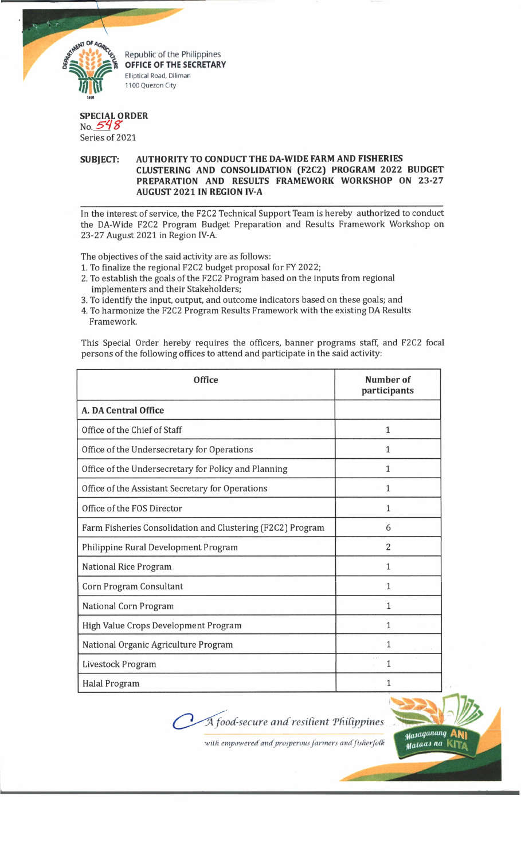

Republic of the Philippines OFFICE OF THE SECRETARY Elliptical Road, Diliman 1100 Quezon City

## **SPECIAL ORDER** No.  $548$

Series of 2021

## **SUBJECT: AUTHORITY TO CONDUCT THE DA-WIDE FARM AND FISHERIES CLUSTERING AND CONSOLIDATION (F2C2) PROGRAM 2022 BUDGET PREPARATION AND RESULTS FRAMEWORK WORKSHOP ON 23-27 AUGUST 2021 IN REGION IV-A**

In the interest of service, the F2C2 Technical Support Team is hereby authorized to conduct the DA-Wide F2C2 Program Budget Preparation and Results Framework Workshop on 23-27 August 2021 in Region IV-A.

The objectives of the said activity are as follows:

- 1. To finalize the regional F2C2 budget proposal for FY 2022;
- 2. To establish the goals of the F2C2 Program based on the inputs from regional implementers and their Stakeholders;
- 3. To identify the input, output, and outcome indicators based on these goals; and
- 4. To harmonize the F2C2 Program Results Framework with the existing DA Results Framework.

This Special Order hereby requires the officers, banner programs staff, and F2C2 focal persons of the following offices to attend and participate in the said activity:

| <b>Office</b>                                              | Number of<br>participants |
|------------------------------------------------------------|---------------------------|
| A. DA Central Office                                       |                           |
| Office of the Chief of Staff                               | 1                         |
| Office of the Undersecretary for Operations                | 1                         |
| Office of the Undersecretary for Policy and Planning       | 1                         |
| Office of the Assistant Secretary for Operations           | 1                         |
| Office of the FOS Director                                 | 1                         |
| Farm Fisheries Consolidation and Clustering (F2C2) Program | 6                         |
| Philippine Rural Development Program                       | $\overline{2}$            |
| National Rice Program                                      | 1                         |
| Corn Program Consultant                                    | 1                         |
| National Corn Program                                      | 1                         |
| High Value Crops Development Program                       | 1                         |
| National Organic Agriculture Program                       | 1                         |
| Livestock Program                                          | 1                         |
| Halal Program                                              |                           |

<sup>*A*</sup> *food-secure and resilient Philippines* 



 $with$  empowered and prosperous farmers and fisherfolk